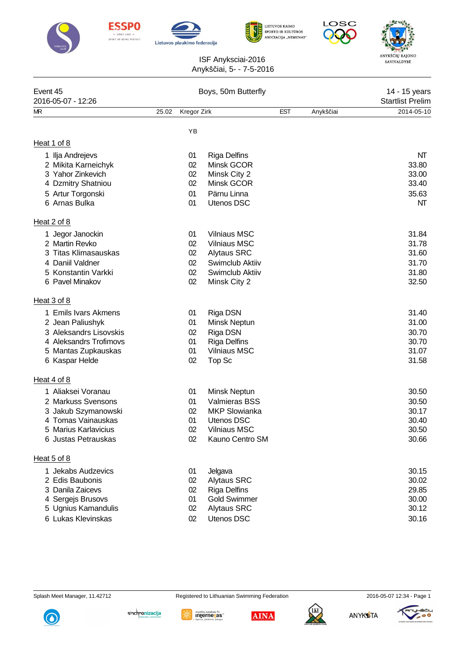











## ISF Anyksciai-2016 Anykš iai, 5- - 7-5-2016

| Event 45<br>2016-05-07 - 12:26                                                                                                        | Boys, 50m Butterfly |                                  |                                                                                                                             |            |           | 14 - 15 years<br><b>Startlist Prelim</b>           |
|---------------------------------------------------------------------------------------------------------------------------------------|---------------------|----------------------------------|-----------------------------------------------------------------------------------------------------------------------------|------------|-----------|----------------------------------------------------|
| MR                                                                                                                                    | 25.02               | Kregor Zirk                      |                                                                                                                             | <b>EST</b> | Anykš iai | 2014-05-10                                         |
|                                                                                                                                       |                     | YB                               |                                                                                                                             |            |           |                                                    |
| Heat 1 of 8                                                                                                                           |                     |                                  |                                                                                                                             |            |           |                                                    |
| 1 Ilja Andrejevs<br>2 Mikita Karneichyk<br>3 Yahor Zinkevich<br>4 Dzmitry Shatniou<br>5 Artur Torgonski<br>6 Arnas Bulka              |                     | 01<br>02<br>02<br>02<br>01<br>01 | <b>Riga Delfins</b><br>Minsk GCOR<br>Minsk City 2<br>Minsk GCOR<br>Pärnu Linna<br><b>Utenos DSC</b>                         |            |           | NT<br>33.80<br>33.00<br>33.40<br>35.63<br>NT       |
| Heat 2 of 8                                                                                                                           |                     |                                  |                                                                                                                             |            |           |                                                    |
| 1 Jegor Janockin<br>2 Martin Revko<br>3 Titas Klimasauskas<br>4 Daniil Valdner<br>5 Konstantin Varkki<br>6 Pavel Minakov              |                     | 01<br>02<br>02<br>02<br>02<br>02 | <b>Vilniaus MSC</b><br><b>Vilniaus MSC</b><br><b>Alytaus SRC</b><br>Swimclub Aktiiv<br>Swimclub Aktiiv<br>Minsk City 2      |            |           | 31.84<br>31.78<br>31.60<br>31.70<br>31.80<br>32.50 |
| Heat 3 of 8                                                                                                                           |                     |                                  |                                                                                                                             |            |           |                                                    |
| 1 Emils Ivars Akmens<br>2 Jean Paliushyk<br>3 Aleksandrs Lisovskis<br>4 Aleksandrs Trofimovs<br>5 Mantas Zupkauskas<br>6 Kaspar Helde |                     | 01<br>01<br>02<br>01<br>01<br>02 | Riga DSN<br>Minsk Neptun<br>Riga DSN<br><b>Riga Delfins</b><br><b>Vilniaus MSC</b><br>Top Sc                                |            |           | 31.40<br>31.00<br>30.70<br>30.70<br>31.07<br>31.58 |
| Heat 4 of 8                                                                                                                           |                     |                                  |                                                                                                                             |            |           |                                                    |
| 1 Aliaksei Voranau<br>2 Markuss Svensons<br>3 Jakub Szymanowski<br>4 Tomas Vainauskas<br>5 Marius Karlavicius<br>6 Justas Petrauskas  |                     | 01<br>01<br>02<br>01<br>02<br>02 | Minsk Neptun<br><b>Valmieras BSS</b><br><b>MKP Slowianka</b><br><b>Utenos DSC</b><br><b>Vilniaus MSC</b><br>Kauno Centro SM |            |           | 30.50<br>30.50<br>30.17<br>30.40<br>30.50<br>30.66 |
| Heat 5 of 8                                                                                                                           |                     |                                  |                                                                                                                             |            |           |                                                    |
| 1 Jekabs Audzevics<br>2 Edis Baubonis<br>3 Danila Zaicevs<br>4 Sergejs Brusovs<br>5 Ugnius Kamandulis<br>6 Lukas Klevinskas           |                     | 01<br>02<br>02<br>01<br>02<br>02 | Jelgava<br><b>Alytaus SRC</b><br><b>Riga Delfins</b><br><b>Gold Swimmer</b><br><b>Alytaus SRC</b><br><b>Utenos DSC</b>      |            |           | 30.15<br>30.02<br>29.85<br>30.00<br>30.12<br>30.16 |